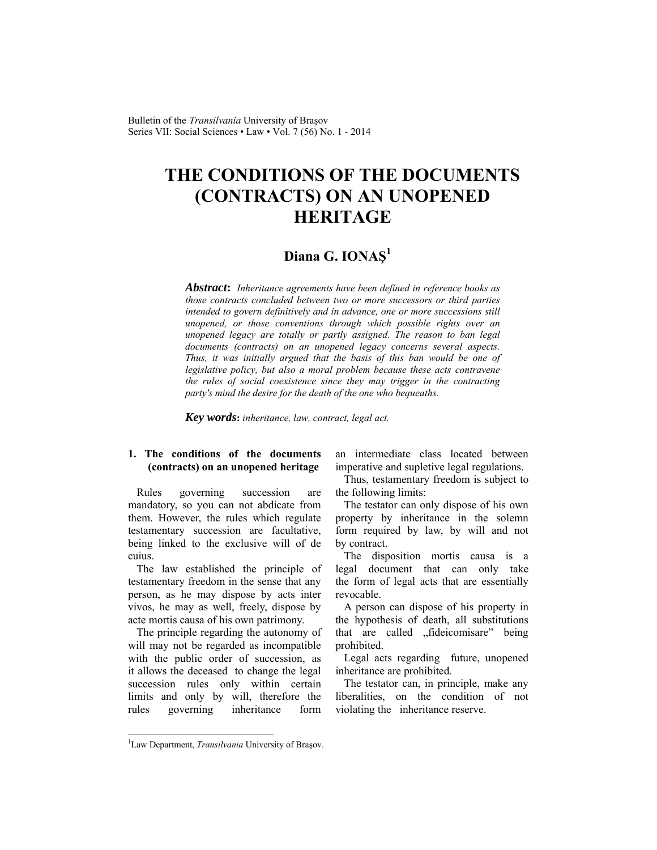Bulletin of the *Transilvania* University of Braşov Series VII: Social Sciences • Law • Vol. 7 (56) No. 1 - 2014

# **THE CONDITIONS OF THE DOCUMENTS (CONTRACTS) ON AN UNOPENED HERITAGE**

## **Diana G. IONAŞ<sup>1</sup>**

*Abstract***:** *Inheritance agreements have been defined in reference books as those contracts concluded between two or more successors or third parties intended to govern definitively and in advance, one or more successions still unopened, or those conventions through which possible rights over an unopened legacy are totally or partly assigned. The reason to ban legal documents (contracts) on an unopened legacy concerns several aspects. Thus, it was initially argued that the basis of this ban would be one of legislative policy, but also a moral problem because these acts contravene the rules of social coexistence since they may trigger in the contracting party's mind the desire for the death of the one who bequeaths.* 

*Key words***:** *inheritance, law, contract, legal act.* 

### **1. The conditions of the documents (contracts) on an unopened heritage**

Rules governing succession are mandatory, so you can not abdicate from them. However, the rules which regulate testamentary succession are facultative, being linked to the exclusive will of de cuius.

The law established the principle of testamentary freedom in the sense that any person, as he may dispose by acts inter vivos, he may as well, freely, dispose by acte mortis causa of his own patrimony.

The principle regarding the autonomy of will may not be regarded as incompatible with the public order of succession, as it allows the deceased to change the legal succession rules only within certain limits and only by will, therefore the rules governing inheritance form

an intermediate class located between imperative and supletive legal regulations.

Thus, testamentary freedom is subject to the following limits:

The testator can only dispose of his own property by inheritance in the solemn form required by law, by will and not by contract.

The disposition mortis causa is a legal document that can only take the form of legal acts that are essentially revocable.

A person can dispose of his property in the hypothesis of death, all substitutions that are called "fideicomisare" being prohibited.

Legal acts regarding future, unopened inheritance are prohibited.

The testator can, in principle, make any liberalities, on the condition of not violating the inheritance reserve.

l

<sup>&</sup>lt;sup>1</sup>Law Department, *Transilvania* University of Brașov.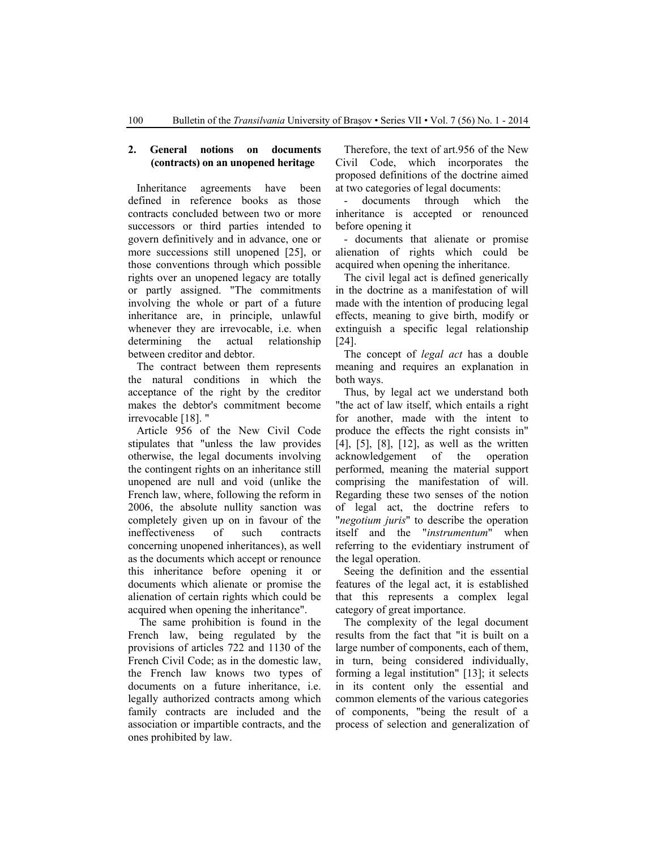#### **2. General notions on documents (contracts) on an unopened heritage**

Inheritance agreements have been defined in reference books as those contracts concluded between two or more successors or third parties intended to govern definitively and in advance, one or more successions still unopened [25], or those conventions through which possible rights over an unopened legacy are totally or partly assigned. "The commitments involving the whole or part of a future inheritance are, in principle, unlawful whenever they are irrevocable, i.e. when determining the actual relationship between creditor and debtor.

The contract between them represents the natural conditions in which the acceptance of the right by the creditor makes the debtor's commitment become irrevocable [18]. "

Article 956 of the New Civil Code stipulates that "unless the law provides otherwise, the legal documents involving the contingent rights on an inheritance still unopened are null and void (unlike the French law, where, following the reform in 2006, the absolute nullity sanction was completely given up on in favour of the ineffectiveness of such contracts concerning unopened inheritances), as well as the documents which accept or renounce this inheritance before opening it or documents which alienate or promise the alienation of certain rights which could be acquired when opening the inheritance".

 The same prohibition is found in the French law, being regulated by the provisions of articles 722 and 1130 of the French Civil Code; as in the domestic law, the French law knows two types of documents on a future inheritance, i.e. legally authorized contracts among which family contracts are included and the association or impartible contracts, and the ones prohibited by law.

Therefore, the text of art.956 of the New Civil Code, which incorporates the proposed definitions of the doctrine aimed at two categories of legal documents:

documents through which the inheritance is accepted or renounced before opening it

- documents that alienate or promise alienation of rights which could be acquired when opening the inheritance.

The civil legal act is defined generically in the doctrine as a manifestation of will made with the intention of producing legal effects, meaning to give birth, modify or extinguish a specific legal relationship [24].

The concept of *legal act* has a double meaning and requires an explanation in both ways.

Thus, by legal act we understand both "the act of law itself, which entails a right for another, made with the intent to produce the effects the right consists in" [4], [5], [8], [12], as well as the written acknowledgement of the operation performed, meaning the material support comprising the manifestation of will. Regarding these two senses of the notion of legal act, the doctrine refers to "*negotium juris*" to describe the operation itself and the "*instrumentum*" when referring to the evidentiary instrument of the legal operation.

Seeing the definition and the essential features of the legal act, it is established that this represents a complex legal category of great importance.

The complexity of the legal document results from the fact that "it is built on a large number of components, each of them, in turn, being considered individually, forming a legal institution" [13]; it selects in its content only the essential and common elements of the various categories of components, "being the result of a process of selection and generalization of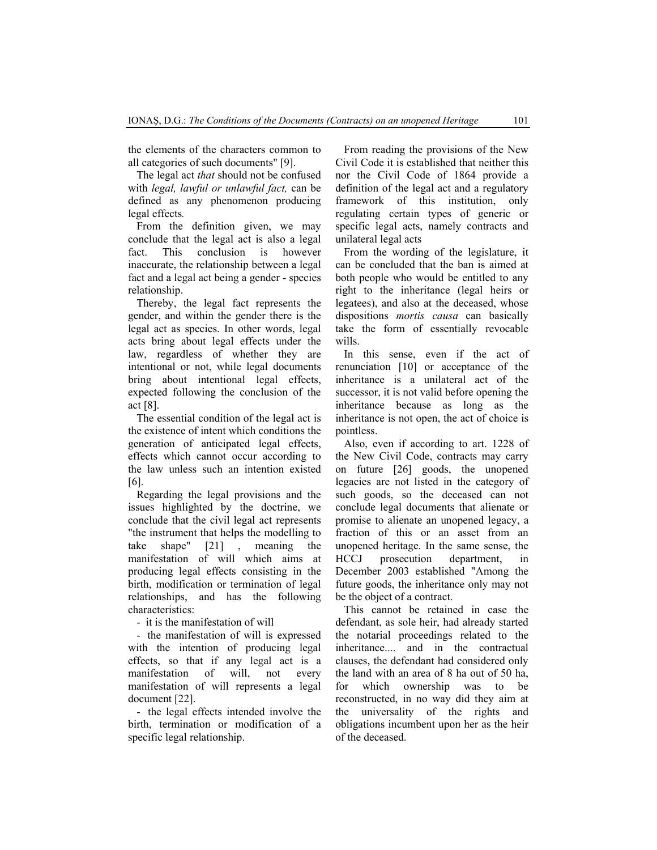the elements of the characters common to all categories of such documents" [9].

The legal act *that* should not be confused with *legal, lawful or unlawful fact,* can be defined as any phenomenon producing legal effects*.*

From the definition given, we may conclude that the legal act is also a legal fact. This conclusion is however inaccurate, the relationship between a legal fact and a legal act being a gender - species relationship.

Thereby, the legal fact represents the gender, and within the gender there is the legal act as species. In other words, legal acts bring about legal effects under the law, regardless of whether they are intentional or not, while legal documents bring about intentional legal effects, expected following the conclusion of the act [8].

The essential condition of the legal act is the existence of intent which conditions the generation of anticipated legal effects, effects which cannot occur according to the law unless such an intention existed [6].

Regarding the legal provisions and the issues highlighted by the doctrine, we conclude that the civil legal act represents "the instrument that helps the modelling to take shape" [21] , meaning the manifestation of will which aims at producing legal effects consisting in the birth, modification or termination of legal relationships, and has the following characteristics:

- it is the manifestation of will

- the manifestation of will is expressed with the intention of producing legal effects, so that if any legal act is a manifestation of will, not every manifestation of will represents a legal document [22].

- the legal effects intended involve the birth, termination or modification of a specific legal relationship.

From reading the provisions of the New Civil Code it is established that neither this nor the Civil Code of 1864 provide a definition of the legal act and a regulatory framework of this institution, only regulating certain types of generic or specific legal acts, namely contracts and unilateral legal acts

From the wording of the legislature, it can be concluded that the ban is aimed at both people who would be entitled to any right to the inheritance (legal heirs or legatees), and also at the deceased, whose dispositions *mortis causa* can basically take the form of essentially revocable wills.

In this sense, even if the act of renunciation [10] or acceptance of the inheritance is a unilateral act of the successor, it is not valid before opening the inheritance because as long as the inheritance is not open, the act of choice is pointless.

Also, even if according to art. 1228 of the New Civil Code, contracts may carry on future [26] goods, the unopened legacies are not listed in the category of such goods, so the deceased can not conclude legal documents that alienate or promise to alienate an unopened legacy, a fraction of this or an asset from an unopened heritage. In the same sense, the HCCJ prosecution department, in December 2003 established "Among the future goods, the inheritance only may not be the object of a contract.

This cannot be retained in case the defendant, as sole heir, had already started the notarial proceedings related to the inheritance.... and in the contractual clauses, the defendant had considered only the land with an area of 8 ha out of 50 ha, for which ownership was to be reconstructed, in no way did they aim at the universality of the rights and obligations incumbent upon her as the heir of the deceased.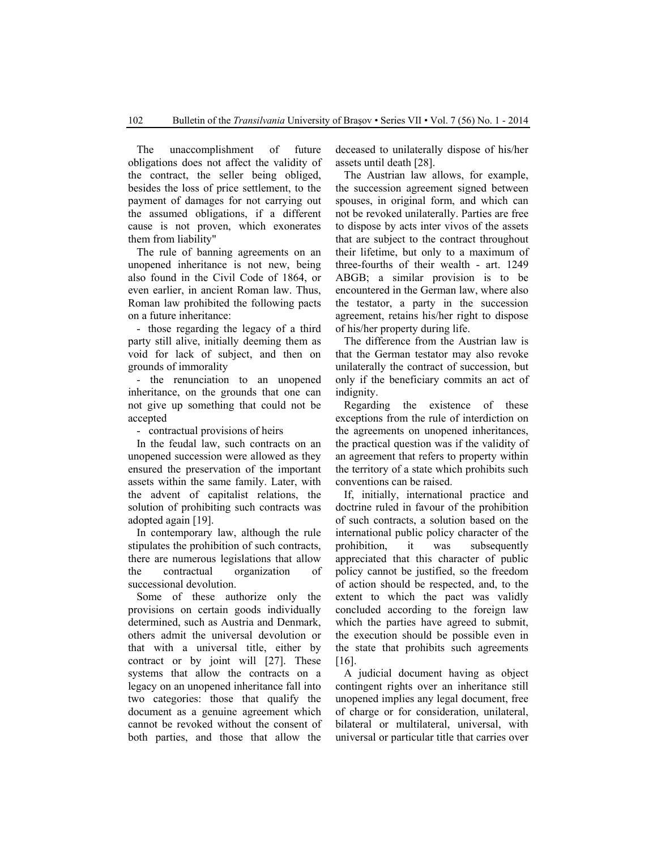The unaccomplishment of future obligations does not affect the validity of the contract, the seller being obliged, besides the loss of price settlement, to the payment of damages for not carrying out the assumed obligations, if a different cause is not proven, which exonerates them from liability"

The rule of banning agreements on an unopened inheritance is not new, being also found in the Civil Code of 1864, or even earlier, in ancient Roman law. Thus, Roman law prohibited the following pacts on a future inheritance:

- those regarding the legacy of a third party still alive, initially deeming them as void for lack of subject, and then on grounds of immorality

- the renunciation to an unopened inheritance, on the grounds that one can not give up something that could not be accepted

- contractual provisions of heirs

In the feudal law, such contracts on an unopened succession were allowed as they ensured the preservation of the important assets within the same family. Later, with the advent of capitalist relations, the solution of prohibiting such contracts was adopted again [19].

In contemporary law, although the rule stipulates the prohibition of such contracts, there are numerous legislations that allow the contractual organization of successional devolution.

Some of these authorize only the provisions on certain goods individually determined, such as Austria and Denmark, others admit the universal devolution or that with a universal title, either by contract or by joint will [27]. These systems that allow the contracts on a legacy on an unopened inheritance fall into two categories: those that qualify the document as a genuine agreement which cannot be revoked without the consent of both parties, and those that allow the deceased to unilaterally dispose of his/her assets until death [28].

The Austrian law allows, for example, the succession agreement signed between spouses, in original form, and which can not be revoked unilaterally. Parties are free to dispose by acts inter vivos of the assets that are subject to the contract throughout their lifetime, but only to a maximum of three-fourths of their wealth - art. 1249 ABGB; a similar provision is to be encountered in the German law, where also the testator, a party in the succession agreement, retains his/her right to dispose of his/her property during life.

The difference from the Austrian law is that the German testator may also revoke unilaterally the contract of succession, but only if the beneficiary commits an act of indignity.

Regarding the existence of these exceptions from the rule of interdiction on the agreements on unopened inheritances, the practical question was if the validity of an agreement that refers to property within the territory of a state which prohibits such conventions can be raised.

If, initially, international practice and doctrine ruled in favour of the prohibition of such contracts, a solution based on the international public policy character of the prohibition, it was subsequently appreciated that this character of public policy cannot be justified, so the freedom of action should be respected, and, to the extent to which the pact was validly concluded according to the foreign law which the parties have agreed to submit, the execution should be possible even in the state that prohibits such agreements [16].

A judicial document having as object contingent rights over an inheritance still unopened implies any legal document, free of charge or for consideration, unilateral, bilateral or multilateral, universal, with universal or particular title that carries over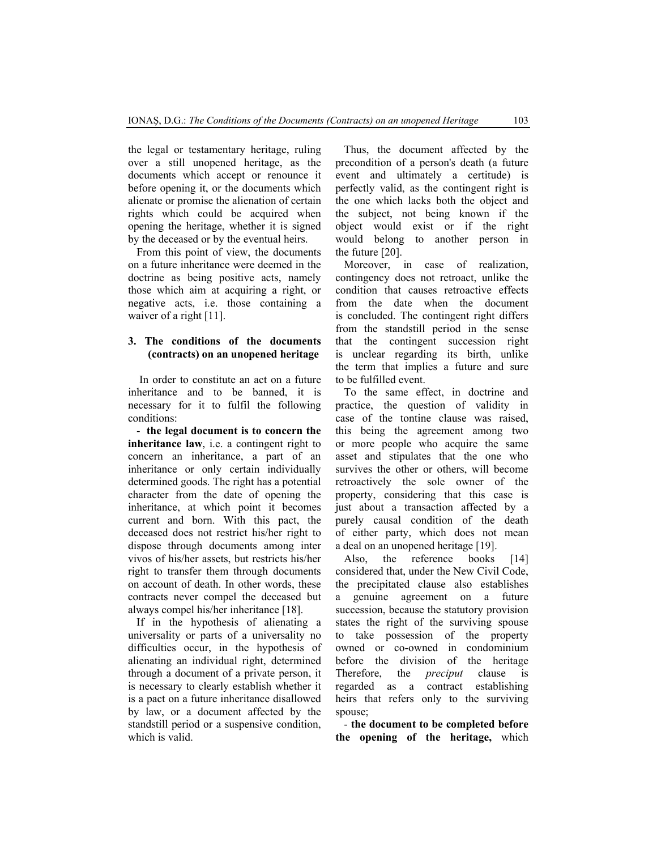the legal or testamentary heritage, ruling over a still unopened heritage, as the documents which accept or renounce it before opening it, or the documents which alienate or promise the alienation of certain rights which could be acquired when opening the heritage, whether it is signed by the deceased or by the eventual heirs.

From this point of view, the documents on a future inheritance were deemed in the doctrine as being positive acts, namely those which aim at acquiring a right, or negative acts, i.e. those containing a waiver of a right [11].

#### **3. The conditions of the documents (contracts) on an unopened heritage**

 In order to constitute an act on a future inheritance and to be banned, it is necessary for it to fulfil the following conditions:

- **the legal document is to concern the inheritance law**, i.e. a contingent right to concern an inheritance, a part of an inheritance or only certain individually determined goods. The right has a potential character from the date of opening the inheritance, at which point it becomes current and born. With this pact, the deceased does not restrict his/her right to dispose through documents among inter vivos of his/her assets, but restricts his/her right to transfer them through documents on account of death. In other words, these contracts never compel the deceased but always compel his/her inheritance [18].

If in the hypothesis of alienating a universality or parts of a universality no difficulties occur, in the hypothesis of alienating an individual right, determined through a document of a private person, it is necessary to clearly establish whether it is a pact on a future inheritance disallowed by law, or a document affected by the standstill period or a suspensive condition, which is valid.

Thus, the document affected by the precondition of a person's death (a future event and ultimately a certitude) is perfectly valid, as the contingent right is the one which lacks both the object and the subject, not being known if the object would exist or if the right would belong to another person in the future [20].

Moreover, in case of realization, contingency does not retroact, unlike the condition that causes retroactive effects from the date when the document is concluded. The contingent right differs from the standstill period in the sense that the contingent succession right is unclear regarding its birth, unlike the term that implies a future and sure to be fulfilled event.

To the same effect, in doctrine and practice, the question of validity in case of the tontine clause was raised, this being the agreement among two or more people who acquire the same asset and stipulates that the one who survives the other or others, will become retroactively the sole owner of the property, considering that this case is just about a transaction affected by a purely causal condition of the death of either party, which does not mean a deal on an unopened heritage [19].

Also, the reference books [14] considered that, under the New Civil Code, the precipitated clause also establishes a genuine agreement on a future succession, because the statutory provision states the right of the surviving spouse to take possession of the property owned or co-owned in condominium before the division of the heritage Therefore, the *preciput* clause is regarded as a contract establishing heirs that refers only to the surviving spouse;

- **the document to be completed before the opening of the heritage,** which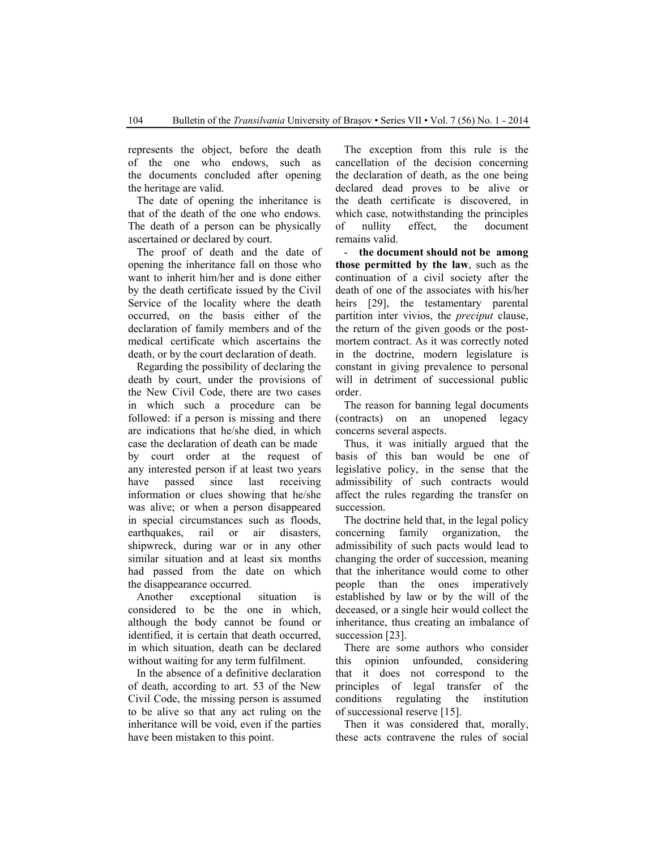represents the object, before the death of the one who endows, such as the documents concluded after opening the heritage are valid.

The date of opening the inheritance is that of the death of the one who endows. The death of a person can be physically ascertained or declared by court.

The proof of death and the date of opening the inheritance fall on those who want to inherit him/her and is done either by the death certificate issued by the Civil Service of the locality where the death occurred, on the basis either of the declaration of family members and of the medical certificate which ascertains the death, or by the court declaration of death.

Regarding the possibility of declaring the death by court, under the provisions of the New Civil Code, there are two cases in which such a procedure can be followed: if a person is missing and there are indications that he/she died, in which case the declaration of death can be made by court order at the request of any interested person if at least two years have passed since last receiving information or clues showing that he/she was alive; or when a person disappeared in special circumstances such as floods, earthquakes, rail or air disasters, shipwreck, during war or in any other similar situation and at least six months had passed from the date on which the disappearance occurred.

Another exceptional situation is considered to be the one in which, although the body cannot be found or identified, it is certain that death occurred, in which situation, death can be declared without waiting for any term fulfilment.

In the absence of a definitive declaration of death, according to art. 53 of the New Civil Code, the missing person is assumed to be alive so that any act ruling on the inheritance will be void, even if the parties have been mistaken to this point.

The exception from this rule is the cancellation of the decision concerning the declaration of death, as the one being declared dead proves to be alive or the death certificate is discovered, in which case, notwithstanding the principles of nullity effect, the document remains valid.

- **the document should not be among those permitted by the law**, such as the continuation of a civil society after the death of one of the associates with his/her heirs [29], the testamentary parental partition inter vivios, the *preciput* clause, the return of the given goods or the postmortem contract. As it was correctly noted in the doctrine, modern legislature is constant in giving prevalence to personal will in detriment of successional public order.

The reason for banning legal documents (contracts) on an unopened legacy concerns several aspects.

Thus, it was initially argued that the basis of this ban would be one of legislative policy, in the sense that the admissibility of such contracts would affect the rules regarding the transfer on succession.

The doctrine held that, in the legal policy concerning family organization, the admissibility of such pacts would lead to changing the order of succession, meaning that the inheritance would come to other people than the ones imperatively established by law or by the will of the deceased, or a single heir would collect the inheritance, thus creating an imbalance of succession [23].

There are some authors who consider this opinion unfounded, considering that it does not correspond to the principles of legal transfer of the conditions regulating the institution of successional reserve [15].

Then it was considered that, morally, these acts contravene the rules of social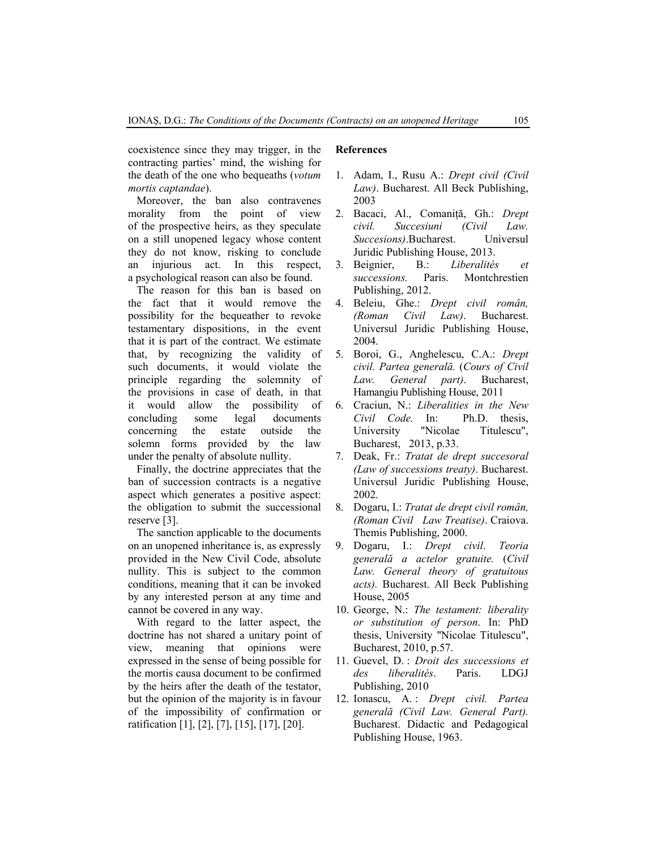coexistence since they may trigger, in the contracting parties' mind, the wishing for the death of the one who bequeaths (*votum mortis captandae*).

Moreover, the ban also contravenes morality from the point of view of the prospective heirs, as they speculate on a still unopened legacy whose content they do not know, risking to conclude an injurious act. In this respect, a psychological reason can also be found.

The reason for this ban is based on the fact that it would remove the possibility for the bequeather to revoke testamentary dispositions, in the event that it is part of the contract. We estimate that, by recognizing the validity of such documents, it would violate the principle regarding the solemnity of the provisions in case of death, in that it would allow the possibility of concluding some legal documents concerning the estate outside the solemn forms provided by the law under the penalty of absolute nullity.

Finally, the doctrine appreciates that the ban of succession contracts is a negative aspect which generates a positive aspect: the obligation to submit the successional reserve [3].

The sanction applicable to the documents on an unopened inheritance is, as expressly provided in the New Civil Code, absolute nullity. This is subject to the common conditions, meaning that it can be invoked by any interested person at any time and cannot be covered in any way.

With regard to the latter aspect, the doctrine has not shared a unitary point of view, meaning that opinions were expressed in the sense of being possible for the mortis causa document to be confirmed by the heirs after the death of the testator, but the opinion of the majority is in favour of the impossibility of confirmation or ratification [1], [2], [7], [15], [17], [20].

#### **References**

- 1. Adam, I., Rusu A.: *Drept civil (Civil Law)*. Bucharest. All Beck Publishing, 2003
- 2. Bacaci, Al., Comaniţă, Gh.: *Drept civil. Succesiuni (Civil Law. Succesions)*.Bucharest. Universul Juridic Publishing House, 2013.
- 3. Beignier, B.: *Liberalités et successions.* Paris. Montchrestien Publishing, 2012.
- 4. Beleiu, Ghe.: *Drept civil român, (Roman Civil Law)*. Bucharest. Universul Juridic Publishing House, 2004.
- 5. Boroi, G., Anghelescu, C.A.: *Drept civil. Partea generală.* (*Cours of Civil Law. General part)*. Bucharest, Hamangiu Publishing House, 2011
- 6. Craciun, N.: *Liberalities in the New Civil Code.* In: Ph.D. thesis, University "Nicolae Titulescu", Bucharest, 2013, p.33.
- 7. Deak, Fr.: *Tratat de drept succesoral (Law of successions treaty)*. Bucharest. Universul Juridic Publishing House, 2002.
- 8. Dogaru, I.: *Tratat de drept civil român, (Roman Civil Law Treatise)*. Craiova. Themis Publishing, 2000.
- 9. Dogaru, I.: *Drept civil*. *Teoria generală a actelor gratuite.* (*Civil Law. General theory of gratuitous acts).* Bucharest. All Beck Publishing House, 2005
- 10. George, N.: *The testament: liberality or substitution of person*. In: PhD thesis, University "Nicolae Titulescu", Bucharest, 2010, p.57.
- 11. Guevel, D. : *Droit des successions et des liberalités*. Paris. LDGJ Publishing, 2010
- 12. Ionascu, A. : *Drept civil. Partea generală (Civil Law. General Part).* Bucharest. Didactic and Pedagogical Publishing House, 1963.